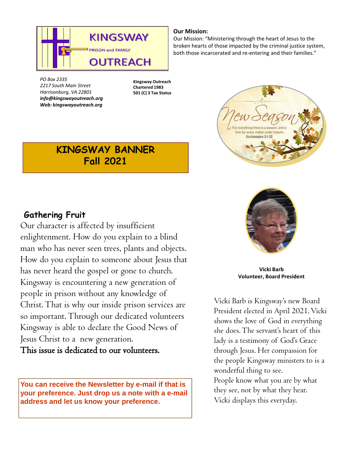

**Our Mission:**

Our Mission: "Ministering through the heart of Jesus to the broken hearts of those impacted by the criminal justice system, both those incarcerated and re-entering and their families."

*PO Box 2335 2217 South Main Street Harrisonburg, VA 22801 info@kingswayoutreach.org Web: kingswayoutreach.org* 

**Kingsway Outreach Chartered 1983 501 (C) 3 Tax Status**

# **KINGSWAY BANNER Fall 2021**



ocioctoc 2-1

**Vicki Barb Volunteer, Board President**

Vicki Barb is Kingsway's new Board President elected in April 2021. Vicki shows the love of God in everything she does. The servant's heart of this lady is a testimony of God's Grace through Jesus. Her compassion for the people Kingsway ministers to is a wonderful thing to see. People know what you are by what they see, not by what they hear. Vicki displays this everyday.

### **Gathering Fruit**

Our character is affected by insufficient enlightenment. How do you explain to a blind man who has never seen trees, plants and objects. How do you explain to someone about Jesus that has never heard the gospel or gone to church. Kingsway is encountering a new generation of people in prison without any knowledge of Christ. That is why our inside prison services are so important. Through our dedicated volunteers Kingsway is able to declare the Good News of Jesus Christ to a new generation. This issue is dedicated to our volunteers.

**You can receive the Newsletter by e-mail if that is your preference. Just drop us a note with a e-mail address and let us know your preference.**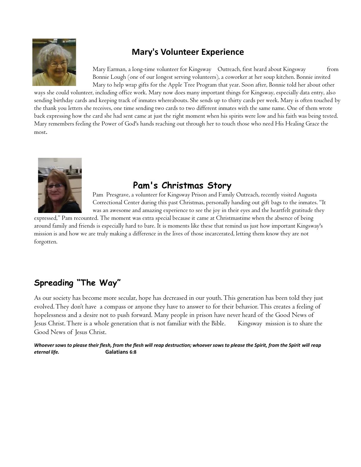

## **Mary's Volunteer Experience**

Mary Earman, a long-time volunteer for Kingsway Outreach, first heard about Kingsway from Bonnie Lough (one of our longest serving volunteers), a coworker at her soup kitchen. Bonnie invited Mary to help wrap gifts for the Apple Tree Program that year. Soon after, Bonnie told her about other

ways she could volunteer, including office work. Mary now does many important things for Kingsway, especially data entry, also sending birthday cards and keeping track of inmates whereabouts. She sends up to thirty cards per week. Mary is often touched by the thank you letters she receives, one time sending two cards to two different inmates with the same name. One of them wrote back expressing how the card she had sent came at just the right moment when his spirits were low and his faith was being tested. Mary remembers feeling the Power of God's hands reaching out through her to touch those who need His Healing Grace the most.



## **Pam's Christmas Story**

Pam Presgrave, a volunteer for Kingsway Prison and Family Outreach, recently visited Augusta Correctional Center during this past Christmas, personally handing out gift bags to the inmates. "It was an awesome and amazing experience to see the joy in their eyes and the heartfelt gratitude they

expressed," Pam recounted. The moment was extra special because it came at Christmastime when the absence of being around family and friends is especially hard to bare. It is moments like these that remind us just how important Kingsway's mission is and how we are truly making a difference in the lives of those incarcerated, letting them know they are not forgotten.

# **Spreading "The Way"**

As our society has become more secular, hope has decreased in our youth. This generation has been told they just evolved. They don't have a compass or anyone they have to answer to for their behavior. This creates a feeling of hopelessness and a desire not to push forward. Many people in prison have never heard of the Good News of Jesus Christ. There is a whole generation that is not familiar with the Bible. Kingsway mission is to share the Good News of Jesus Christ.

Whoever sows to please their flesh, from the flesh will reap destruction; whoever sows to please the Spirit, from the Spirit will reap *eternal life.* **Galatians 6:8**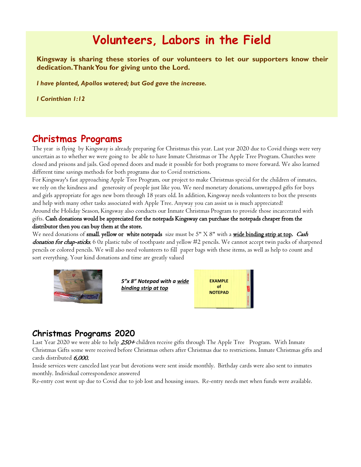# **Volunteers, Labors in the Field**

**Kingsway is sharing these stories of our volunteers to let our supporters know their dedication.ThankYou for giving unto the Lord.**

*I have planted, Apollos watered; but God gave the increase.* 

*I Corinthian 1:12*

#### **Christmas Programs**

The year is flying by Kingsway is already preparing for Christmas this year. Last year 2020 due to Covid things were very uncertain as to whether we were going to be able to have Inmate Christmas or The Apple Tree Program. Churches were closed and prisons and jails. God opened doors and made it possible for both programs to move forward. We also learned different time savings methods for both programs due to Covid restrictions.

For Kingsway's fast approaching Apple Tree Program, our project to make Christmas special for the children of inmates, we rely on the kindness and generosity of people just like you. We need monetary donations, unwrapped gifts for boys and girls appropriate for ages new born through 18 years old. In addition, Kingsway needs volunteers to box the presents and help with many other tasks associated with Apple Tree. Anyway you can assist us is much appreciated!

Around the Holiday Season, Kingsway also conducts our Inmate Christmas Program to provide those incarcerated with gifts. Cash donations would be appreciated for the notepads Kingsway can purchase the notepads cheaper from the distributor then you can buy them at the store.

We need donations of small, yellow or white notepads size must be 5" X 8" with a wide binding strip at top. Cash donation for chap-sticks, 6 0z plastic tube of toothpaste and yellow #2 pencils. We cannot accept twin packs of sharpened pencils or colored pencils. We will also need volunteers to fill paper bags with these items, as well as help to count and sort everything. Your kind donations and time are greatly valued



*5"x 8" Notepad with a wide binding strip at top* 

| <b>EXAMPLE</b> |  |
|----------------|--|
| of             |  |
| <b>NOTEPAD</b> |  |
|                |  |

#### **Christmas Programs 2020**

Last Year 2020 we were able to help 250+ children receive gifts through The Apple Tree Program. With Inmate Christmas Gifts some were received before Christmas others after Christmas due to restrictions. Inmate Christmas gifts and cards distributed 6,000.

Inside services were canceled last year but devotions were sent inside monthly. Birthday cards were also sent to inmates monthly. Individual correspondence answered

Re-entry cost went up due to Covid due to job lost and housing issues. Re-entry needs met when funds were available.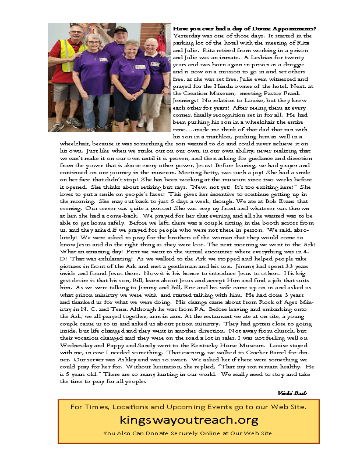

#### Have you ever had a day of Divine Appointments? Yesterday was one of those days. It started in the parking lot of the hotel with the meeting of Ritaand Julie. Rita retired from working in a prisonand Julie was an inmate. A Lesbian for twenty years and was born again in prison as a druggie and is now on a mission to go in and set others. free, as she was set free. Julie even witnessed and prayed for the Hindu owner of the hotel. Next, at the Creation Museum, meeting Pastor Frank Jennings! No relation to Louise, but they knew each other for years! After seeing them at every corner, finally recognition set in for all. He had been pushing his son in a wheelchair the entire time....made me think of that dad that ran with his son in a triathlon, pushing him as well in a

wheelchair, because it was something the son wanted to do and could never achieve it on his own. Just like when we strike out on our own, in our own ability, never realizing that we can't make it on our own until it is proven, and then asking for guidance and direction from the power that is above every other power, Jesus! Before leaving, we had prayer and continued on our journey in the museum. Meeting Betty, was such a joy! She had a smile on her face that didn't stop! She has been working at the museum since two weeks before it opened. She thinks about retiring but says, "New, not yet! It's too exciting here!" She loves to put a smile on people's faces! This gives her incentive to continue getting up in the morning. She may cut back to just 5 days a week, though. We ate at Bob Evans that evening. Our server was quite a person! She was very up front and whatever was thrown at her, she had a come-back. We prayed for her that evening and all she wanted was to be able to get home safely. Before we left, there was a couple sitting in the booth across from us, and they asked if we prayed for people who were not there in person. We said, absolutely! We were asked to pray for the brothers of the woman that they would come to know Jesus and do the right thing as they were lost. The next morning we went to the Ark! What an amazing day! First we went to the virtual encounter where everything was in 4-D! That was exhilarating! As we walked to the Ark we stopped and helped people take pictures in front of the Ark and met a gentleman and his son. Jimmy had spent 33 years inside and found Jesus there. Now it is his honor to introduce Jesus to others. His biggest desire is that his son, Bill, learn about Jesus and accept Him and find a job that suits him. As we were talking to Jimmy and Bill, Eric and his wife came up on us and asked us what prison ministry we were with and started talking with him. He had done 3 years and thanked us for what we were doing. His change came about from Rock of Ages Ministry in N. C. and Tenn. Although he was from P.A. Before leaving and embarking onto the Ark, we all prayed together, arm in arm. At the restaurant we ate at on site, a young couple came us to us and asked us about prison ministry. They had gotten close to going inside, but life changed and they went in another direction. Not away from church, but their vocation changed and they were on the road a lot in sales. I was not feeling well on Wednesday and Pappy and Sandy went to the Kentucky Horse Museum. Louise stayed with me, in case I needed something. That evening, we walked to Cracker Barrel for dinner. Our server was Ashley and was so sweet. We asked her if there were something we could pray for her for. Without hesitation, she replied, "That my son remain healthy. He is 5 years old." There are so many hurting in our world. We really need to stop and take the time to pray for all peoples

Vicky Barb

For Times, Locations and Upcoming Events go to our Web Site.

# kingswayoutreach.org

You Also Can Donate Securely Online at Our Web Site.